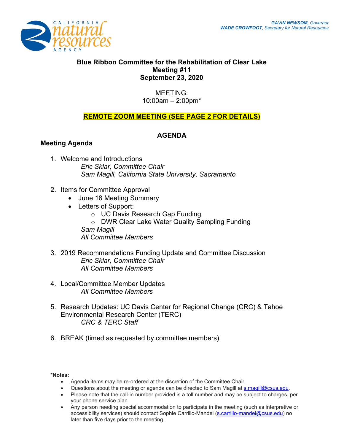

# **Blue Ribbon Committee for the Rehabilitation of Clear Lake Meeting #11 September 23, 2020**

MEETING: 10:00am – 2:00pm\*

# **REMOTE ZOOM MEETING (SEE PAGE 2 FOR DETAILS)**

### **AGENDA**

### **Meeting Agenda**

- 1. Welcome and Introductions *Eric Sklar, Committee Chair Sam Magill, California State University, Sacramento*
- 2. Items for Committee Approval
	- June 18 Meeting Summary
	- Letters of Support:
		- o UC Davis Research Gap Funding
		- o DWR Clear Lake Water Quality Sampling Funding
		- *Sam Magill*
		- *All Committee Members*
- 3. 2019 Recommendations Funding Update and Committee Discussion *Eric Sklar, Committee Chair All Committee Members*
- 4. Local/Committee Member Updates *All Committee Members*
- 5. Research Updates: UC Davis Center for Regional Change (CRC) & Tahoe Environmental Research Center (TERC) *CRC & TERC Staff*
- 6. BREAK (timed as requested by committee members)

**\*Notes:** 

- Agenda items may be re-ordered at the discretion of the Committee Chair.
- Questions about the meeting or agenda can be directed to Sam Magill at [s.magill@csus.edu.](mailto:s.magill@csus.edu)
- Please note that the call-in number provided is a toll number and may be subject to charges, per your phone service plan
- Any person needing special accommodation to participate in the meeting (such as interpretive or accessibility services) should contact Sophie Carrillo-Mandel [\(s.carrillo-mandel@csus.edu\)](mailto:s.carrillo-mandel@csus.edu) no later than five days prior to the meeting.